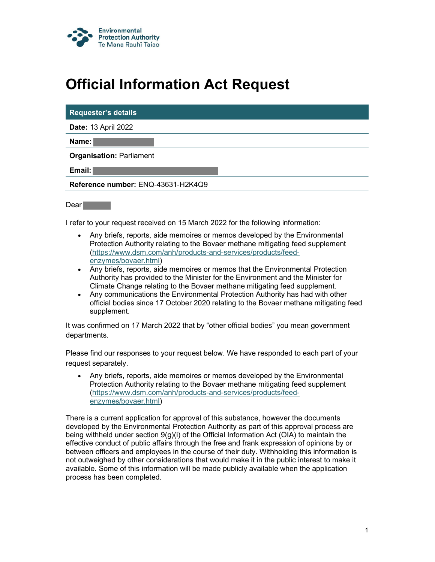

## Official Information Act Request

| <b>Requester's details</b>         |  |
|------------------------------------|--|
| <b>Date: 13 April 2022</b>         |  |
| Name: I                            |  |
| <b>Organisation: Parliament</b>    |  |
| Email:                             |  |
| Reference number: ENQ-43631-H2K4Q9 |  |
|                                    |  |

Dear **Dear** 

I refer to your request received on 15 March 2022 for the following information:

- Any briefs, reports, aide memoires or memos developed by the Environmental Protection Authority relating to the Bovaer methane mitigating feed supplement (https://www.dsm.com/anh/products-and-services/products/feedenzymes/bovaer.html)
- Any briefs, reports, aide memoires or memos that the Environmental Protection Authority has provided to the Minister for the Environment and the Minister for Climate Change relating to the Bovaer methane mitigating feed supplement.
- Any communications the Environmental Protection Authority has had with other official bodies since 17 October 2020 relating to the Bovaer methane mitigating feed supplement.

It was confirmed on 17 March 2022 that by "other official bodies" you mean government departments.

Please find our responses to your request below. We have responded to each part of your request separately.

 Any briefs, reports, aide memoires or memos developed by the Environmental Protection Authority relating to the Bovaer methane mitigating feed supplement (https://www.dsm.com/anh/products-and-services/products/feedenzymes/bovaer.html)

There is a current application for approval of this substance, however the documents developed by the Environmental Protection Authority as part of this approval process are being withheld under section 9(g)(i) of the Official Information Act (OIA) to maintain the effective conduct of public affairs through the free and frank expression of opinions by or between officers and employees in the course of their duty. Withholding this information is not outweighed by other considerations that would make it in the public interest to make it available. Some of this information will be made publicly available when the application process has been completed.